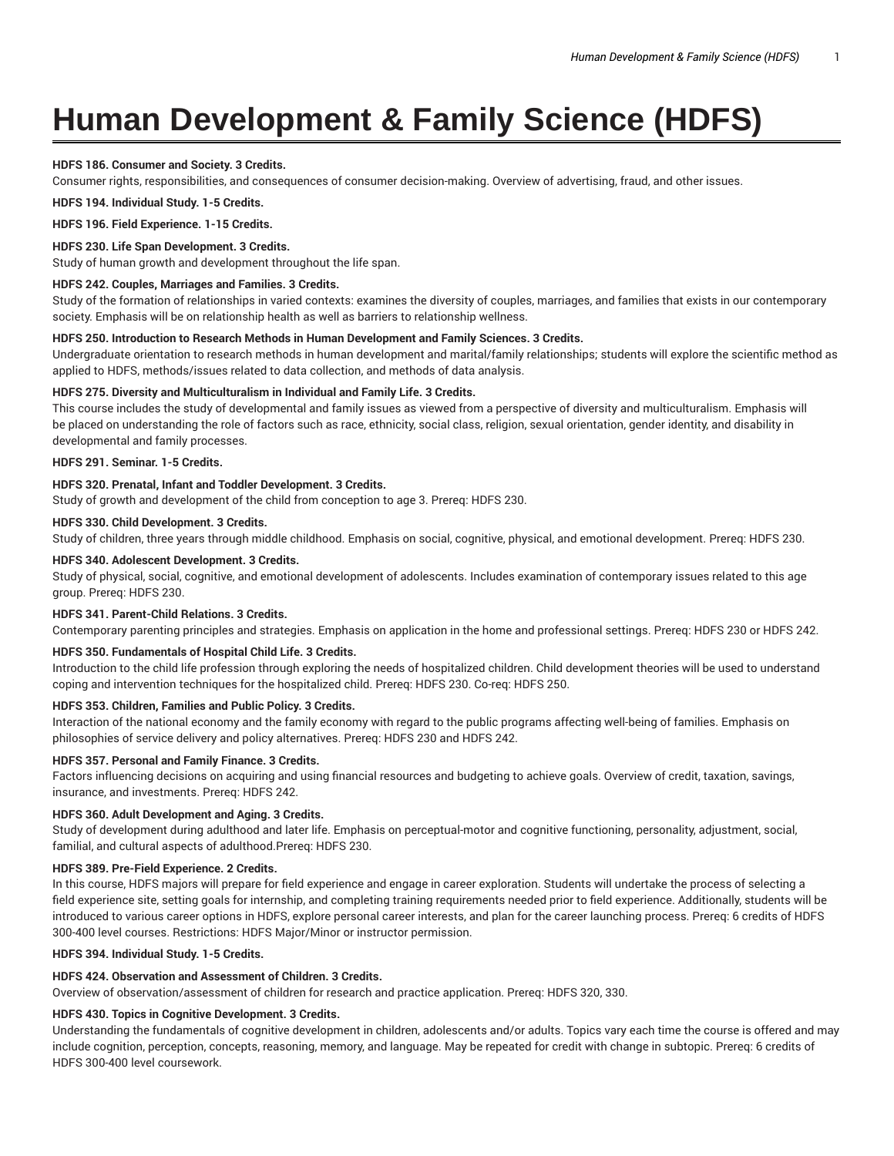# **Human Development & Family Science (HDFS)**

## **HDFS 186. Consumer and Society. 3 Credits.**

Consumer rights, responsibilities, and consequences of consumer decision-making. Overview of advertising, fraud, and other issues.

**HDFS 194. Individual Study. 1-5 Credits.**

**HDFS 196. Field Experience. 1-15 Credits.**

## **HDFS 230. Life Span Development. 3 Credits.**

Study of human growth and development throughout the life span.

## **HDFS 242. Couples, Marriages and Families. 3 Credits.**

Study of the formation of relationships in varied contexts: examines the diversity of couples, marriages, and families that exists in our contemporary society. Emphasis will be on relationship health as well as barriers to relationship wellness.

#### **HDFS 250. Introduction to Research Methods in Human Development and Family Sciences. 3 Credits.**

Undergraduate orientation to research methods in human development and marital/family relationships; students will explore the scientific method as applied to HDFS, methods/issues related to data collection, and methods of data analysis.

## **HDFS 275. Diversity and Multiculturalism in Individual and Family Life. 3 Credits.**

This course includes the study of developmental and family issues as viewed from a perspective of diversity and multiculturalism. Emphasis will be placed on understanding the role of factors such as race, ethnicity, social class, religion, sexual orientation, gender identity, and disability in developmental and family processes.

## **HDFS 291. Seminar. 1-5 Credits.**

## **HDFS 320. Prenatal, Infant and Toddler Development. 3 Credits.**

Study of growth and development of the child from conception to age 3. Prereq: HDFS 230.

## **HDFS 330. Child Development. 3 Credits.**

Study of children, three years through middle childhood. Emphasis on social, cognitive, physical, and emotional development. Prereq: HDFS 230.

#### **HDFS 340. Adolescent Development. 3 Credits.**

Study of physical, social, cognitive, and emotional development of adolescents. Includes examination of contemporary issues related to this age group. Prereq: HDFS 230.

## **HDFS 341. Parent-Child Relations. 3 Credits.**

Contemporary parenting principles and strategies. Emphasis on application in the home and professional settings. Prereq: HDFS 230 or HDFS 242.

## **HDFS 350. Fundamentals of Hospital Child Life. 3 Credits.**

Introduction to the child life profession through exploring the needs of hospitalized children. Child development theories will be used to understand coping and intervention techniques for the hospitalized child. Prereq: HDFS 230. Co-req: HDFS 250.

## **HDFS 353. Children, Families and Public Policy. 3 Credits.**

Interaction of the national economy and the family economy with regard to the public programs affecting well-being of families. Emphasis on philosophies of service delivery and policy alternatives. Prereq: HDFS 230 and HDFS 242.

## **HDFS 357. Personal and Family Finance. 3 Credits.**

Factors influencing decisions on acquiring and using financial resources and budgeting to achieve goals. Overview of credit, taxation, savings, insurance, and investments. Prereq: HDFS 242.

## **HDFS 360. Adult Development and Aging. 3 Credits.**

Study of development during adulthood and later life. Emphasis on perceptual-motor and cognitive functioning, personality, adjustment, social, familial, and cultural aspects of adulthood.Prereq: HDFS 230.

#### **HDFS 389. Pre-Field Experience. 2 Credits.**

In this course, HDFS majors will prepare for field experience and engage in career exploration. Students will undertake the process of selecting a field experience site, setting goals for internship, and completing training requirements needed prior to field experience. Additionally, students will be introduced to various career options in HDFS, explore personal career interests, and plan for the career launching process. Prereq: 6 credits of HDFS 300-400 level courses. Restrictions: HDFS Major/Minor or instructor permission.

## **HDFS 394. Individual Study. 1-5 Credits.**

## **HDFS 424. Observation and Assessment of Children. 3 Credits.**

Overview of observation/assessment of children for research and practice application. Prereq: HDFS 320, 330.

## **HDFS 430. Topics in Cognitive Development. 3 Credits.**

Understanding the fundamentals of cognitive development in children, adolescents and/or adults. Topics vary each time the course is offered and may include cognition, perception, concepts, reasoning, memory, and language. May be repeated for credit with change in subtopic. Prereq: 6 credits of HDFS 300-400 level coursework.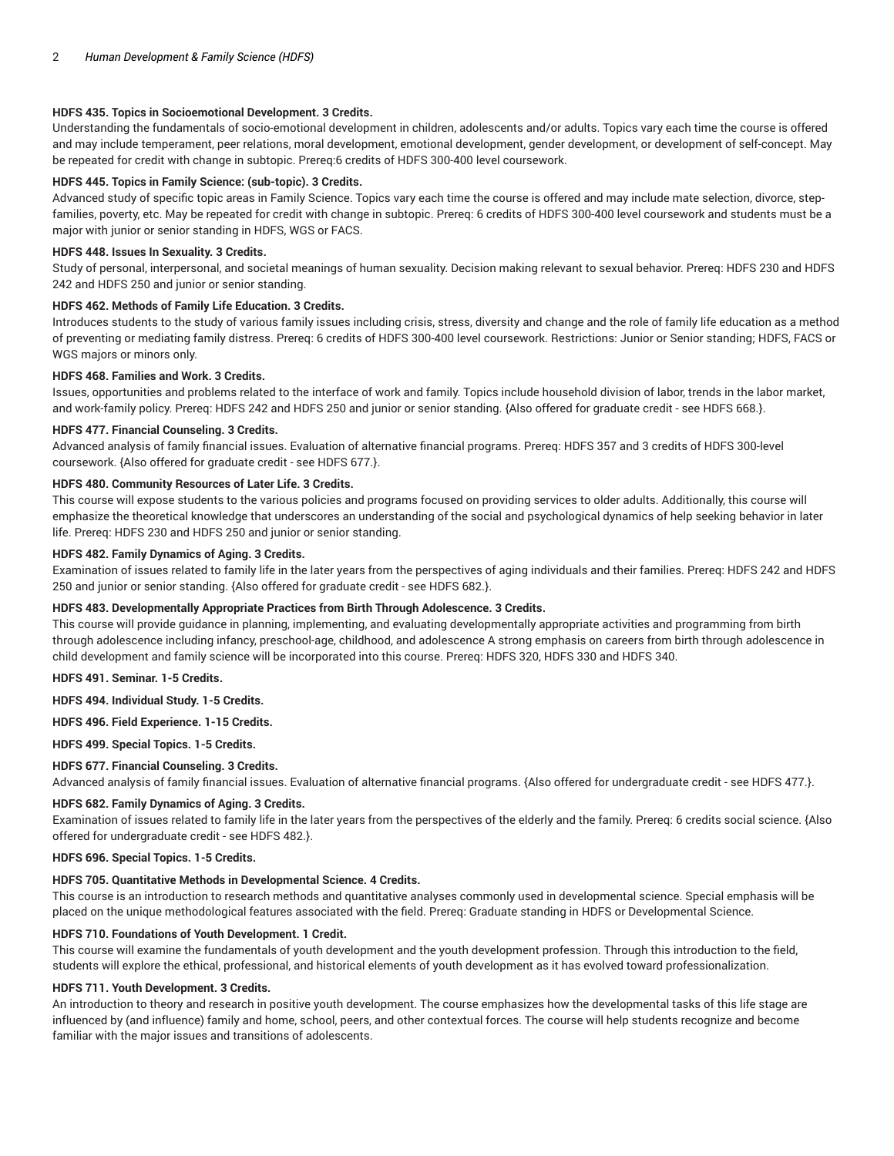## **HDFS 435. Topics in Socioemotional Development. 3 Credits.**

Understanding the fundamentals of socio-emotional development in children, adolescents and/or adults. Topics vary each time the course is offered and may include temperament, peer relations, moral development, emotional development, gender development, or development of self-concept. May be repeated for credit with change in subtopic. Prereq:6 credits of HDFS 300-400 level coursework.

## **HDFS 445. Topics in Family Science: (sub-topic). 3 Credits.**

Advanced study of specific topic areas in Family Science. Topics vary each time the course is offered and may include mate selection, divorce, stepfamilies, poverty, etc. May be repeated for credit with change in subtopic. Prereq: 6 credits of HDFS 300-400 level coursework and students must be a major with junior or senior standing in HDFS, WGS or FACS.

#### **HDFS 448. Issues In Sexuality. 3 Credits.**

Study of personal, interpersonal, and societal meanings of human sexuality. Decision making relevant to sexual behavior. Prereq: HDFS 230 and HDFS 242 and HDFS 250 and junior or senior standing.

#### **HDFS 462. Methods of Family Life Education. 3 Credits.**

Introduces students to the study of various family issues including crisis, stress, diversity and change and the role of family life education as a method of preventing or mediating family distress. Prereq: 6 credits of HDFS 300-400 level coursework. Restrictions: Junior or Senior standing; HDFS, FACS or WGS majors or minors only.

#### **HDFS 468. Families and Work. 3 Credits.**

Issues, opportunities and problems related to the interface of work and family. Topics include household division of labor, trends in the labor market, and work-family policy. Prereq: HDFS 242 and HDFS 250 and junior or senior standing. {Also offered for graduate credit - see HDFS 668.}.

#### **HDFS 477. Financial Counseling. 3 Credits.**

Advanced analysis of family financial issues. Evaluation of alternative financial programs. Prereq: HDFS 357 and 3 credits of HDFS 300-level coursework. {Also offered for graduate credit - see HDFS 677.}.

## **HDFS 480. Community Resources of Later Life. 3 Credits.**

This course will expose students to the various policies and programs focused on providing services to older adults. Additionally, this course will emphasize the theoretical knowledge that underscores an understanding of the social and psychological dynamics of help seeking behavior in later life. Prereq: HDFS 230 and HDFS 250 and junior or senior standing.

## **HDFS 482. Family Dynamics of Aging. 3 Credits.**

Examination of issues related to family life in the later years from the perspectives of aging individuals and their families. Prereq: HDFS 242 and HDFS 250 and junior or senior standing. {Also offered for graduate credit - see HDFS 682.}.

## **HDFS 483. Developmentally Appropriate Practices from Birth Through Adolescence. 3 Credits.**

This course will provide guidance in planning, implementing, and evaluating developmentally appropriate activities and programming from birth through adolescence including infancy, preschool-age, childhood, and adolescence A strong emphasis on careers from birth through adolescence in child development and family science will be incorporated into this course. Prereq: HDFS 320, HDFS 330 and HDFS 340.

**HDFS 491. Seminar. 1-5 Credits.**

**HDFS 494. Individual Study. 1-5 Credits.**

#### **HDFS 496. Field Experience. 1-15 Credits.**

**HDFS 499. Special Topics. 1-5 Credits.**

## **HDFS 677. Financial Counseling. 3 Credits.**

Advanced analysis of family financial issues. Evaluation of alternative financial programs. {Also offered for undergraduate credit - see HDFS 477.}.

## **HDFS 682. Family Dynamics of Aging. 3 Credits.**

Examination of issues related to family life in the later years from the perspectives of the elderly and the family. Prereq: 6 credits social science. {Also offered for undergraduate credit - see HDFS 482.}.

#### **HDFS 696. Special Topics. 1-5 Credits.**

## **HDFS 705. Quantitative Methods in Developmental Science. 4 Credits.**

This course is an introduction to research methods and quantitative analyses commonly used in developmental science. Special emphasis will be placed on the unique methodological features associated with the field. Prereq: Graduate standing in HDFS or Developmental Science.

#### **HDFS 710. Foundations of Youth Development. 1 Credit.**

This course will examine the fundamentals of youth development and the youth development profession. Through this introduction to the field, students will explore the ethical, professional, and historical elements of youth development as it has evolved toward professionalization.

#### **HDFS 711. Youth Development. 3 Credits.**

An introduction to theory and research in positive youth development. The course emphasizes how the developmental tasks of this life stage are influenced by (and influence) family and home, school, peers, and other contextual forces. The course will help students recognize and become familiar with the major issues and transitions of adolescents.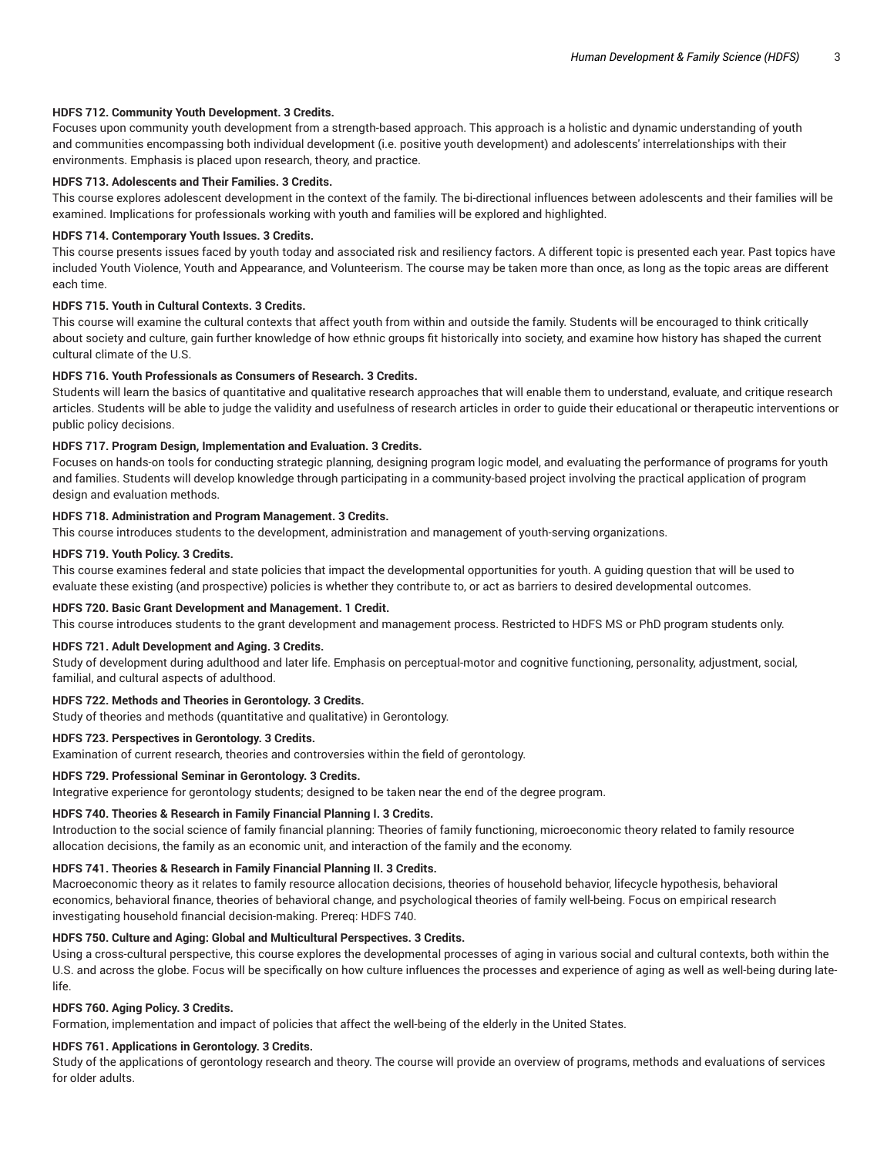## **HDFS 712. Community Youth Development. 3 Credits.**

Focuses upon community youth development from a strength-based approach. This approach is a holistic and dynamic understanding of youth and communities encompassing both individual development (i.e. positive youth development) and adolescents' interrelationships with their environments. Emphasis is placed upon research, theory, and practice.

#### **HDFS 713. Adolescents and Their Families. 3 Credits.**

This course explores adolescent development in the context of the family. The bi-directional influences between adolescents and their families will be examined. Implications for professionals working with youth and families will be explored and highlighted.

#### **HDFS 714. Contemporary Youth Issues. 3 Credits.**

This course presents issues faced by youth today and associated risk and resiliency factors. A different topic is presented each year. Past topics have included Youth Violence, Youth and Appearance, and Volunteerism. The course may be taken more than once, as long as the topic areas are different each time.

#### **HDFS 715. Youth in Cultural Contexts. 3 Credits.**

This course will examine the cultural contexts that affect youth from within and outside the family. Students will be encouraged to think critically about society and culture, gain further knowledge of how ethnic groups fit historically into society, and examine how history has shaped the current cultural climate of the U.S.

## **HDFS 716. Youth Professionals as Consumers of Research. 3 Credits.**

Students will learn the basics of quantitative and qualitative research approaches that will enable them to understand, evaluate, and critique research articles. Students will be able to judge the validity and usefulness of research articles in order to guide their educational or therapeutic interventions or public policy decisions.

#### **HDFS 717. Program Design, Implementation and Evaluation. 3 Credits.**

Focuses on hands-on tools for conducting strategic planning, designing program logic model, and evaluating the performance of programs for youth and families. Students will develop knowledge through participating in a community-based project involving the practical application of program design and evaluation methods.

#### **HDFS 718. Administration and Program Management. 3 Credits.**

This course introduces students to the development, administration and management of youth-serving organizations.

## **HDFS 719. Youth Policy. 3 Credits.**

This course examines federal and state policies that impact the developmental opportunities for youth. A guiding question that will be used to evaluate these existing (and prospective) policies is whether they contribute to, or act as barriers to desired developmental outcomes.

## **HDFS 720. Basic Grant Development and Management. 1 Credit.**

This course introduces students to the grant development and management process. Restricted to HDFS MS or PhD program students only.

#### **HDFS 721. Adult Development and Aging. 3 Credits.**

Study of development during adulthood and later life. Emphasis on perceptual-motor and cognitive functioning, personality, adjustment, social, familial, and cultural aspects of adulthood.

## **HDFS 722. Methods and Theories in Gerontology. 3 Credits.**

Study of theories and methods (quantitative and qualitative) in Gerontology.

## **HDFS 723. Perspectives in Gerontology. 3 Credits.**

Examination of current research, theories and controversies within the field of gerontology.

#### **HDFS 729. Professional Seminar in Gerontology. 3 Credits.**

Integrative experience for gerontology students; designed to be taken near the end of the degree program.

#### **HDFS 740. Theories & Research in Family Financial Planning I. 3 Credits.**

Introduction to the social science of family financial planning: Theories of family functioning, microeconomic theory related to family resource allocation decisions, the family as an economic unit, and interaction of the family and the economy.

## **HDFS 741. Theories & Research in Family Financial Planning II. 3 Credits.**

Macroeconomic theory as it relates to family resource allocation decisions, theories of household behavior, lifecycle hypothesis, behavioral economics, behavioral finance, theories of behavioral change, and psychological theories of family well-being. Focus on empirical research investigating household financial decision-making. Prereq: HDFS 740.

## **HDFS 750. Culture and Aging: Global and Multicultural Perspectives. 3 Credits.**

Using a cross-cultural perspective, this course explores the developmental processes of aging in various social and cultural contexts, both within the U.S. and across the globe. Focus will be specifically on how culture influences the processes and experience of aging as well as well-being during latelife.

#### **HDFS 760. Aging Policy. 3 Credits.**

Formation, implementation and impact of policies that affect the well-being of the elderly in the United States.

## **HDFS 761. Applications in Gerontology. 3 Credits.**

Study of the applications of gerontology research and theory. The course will provide an overview of programs, methods and evaluations of services for older adults.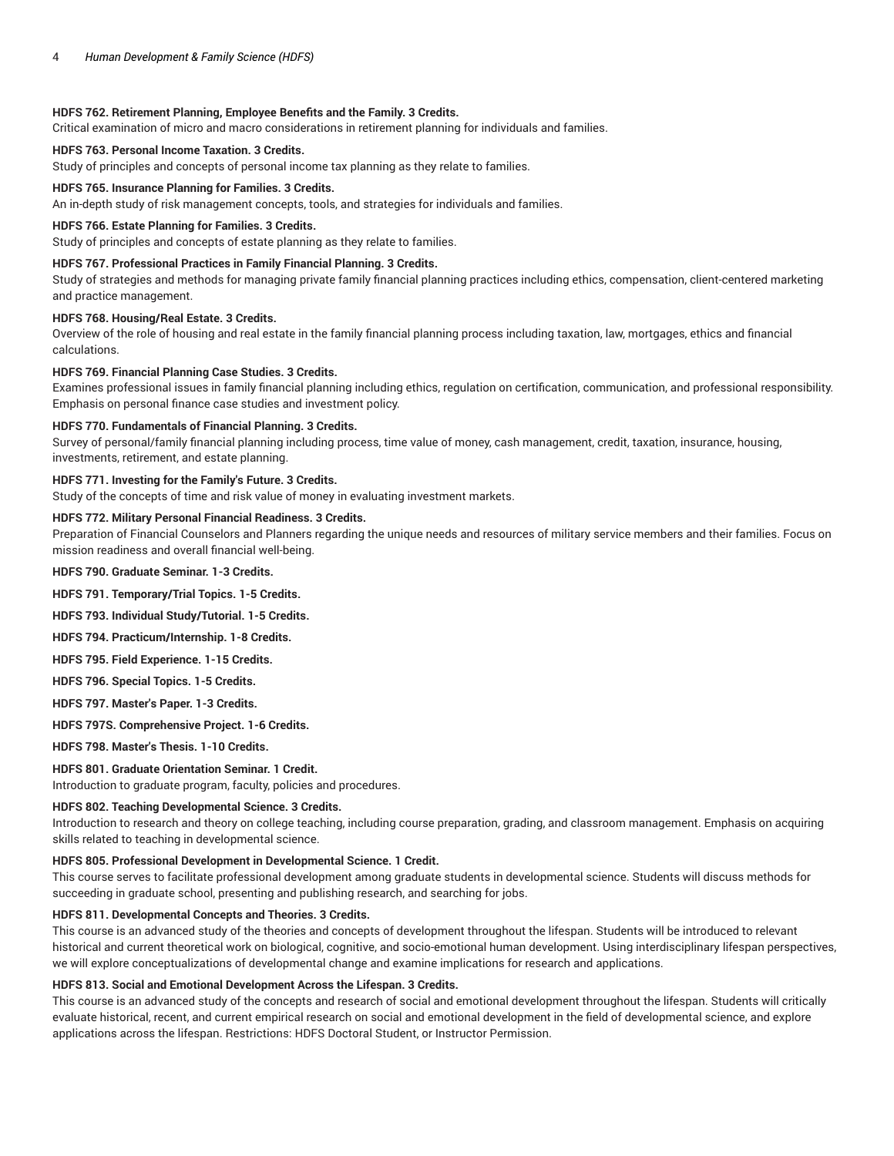## **HDFS 762. Retirement Planning, Employee Benefits and the Family. 3 Credits.**

Critical examination of micro and macro considerations in retirement planning for individuals and families.

## **HDFS 763. Personal Income Taxation. 3 Credits.**

Study of principles and concepts of personal income tax planning as they relate to families.

#### **HDFS 765. Insurance Planning for Families. 3 Credits.**

An in-depth study of risk management concepts, tools, and strategies for individuals and families.

#### **HDFS 766. Estate Planning for Families. 3 Credits.**

Study of principles and concepts of estate planning as they relate to families.

## **HDFS 767. Professional Practices in Family Financial Planning. 3 Credits.**

Study of strategies and methods for managing private family financial planning practices including ethics, compensation, client-centered marketing and practice management.

## **HDFS 768. Housing/Real Estate. 3 Credits.**

Overview of the role of housing and real estate in the family financial planning process including taxation, law, mortgages, ethics and financial calculations.

#### **HDFS 769. Financial Planning Case Studies. 3 Credits.**

Examines professional issues in family financial planning including ethics, regulation on certification, communication, and professional responsibility. Emphasis on personal finance case studies and investment policy.

#### **HDFS 770. Fundamentals of Financial Planning. 3 Credits.**

Survey of personal/family financial planning including process, time value of money, cash management, credit, taxation, insurance, housing, investments, retirement, and estate planning.

### **HDFS 771. Investing for the Family's Future. 3 Credits.**

Study of the concepts of time and risk value of money in evaluating investment markets.

## **HDFS 772. Military Personal Financial Readiness. 3 Credits.**

Preparation of Financial Counselors and Planners regarding the unique needs and resources of military service members and their families. Focus on mission readiness and overall financial well-being.

**HDFS 790. Graduate Seminar. 1-3 Credits.**

**HDFS 791. Temporary/Trial Topics. 1-5 Credits.**

**HDFS 793. Individual Study/Tutorial. 1-5 Credits.**

**HDFS 794. Practicum/Internship. 1-8 Credits.**

**HDFS 795. Field Experience. 1-15 Credits.**

**HDFS 796. Special Topics. 1-5 Credits.**

**HDFS 797. Master's Paper. 1-3 Credits.**

**HDFS 797S. Comprehensive Project. 1-6 Credits.**

**HDFS 798. Master's Thesis. 1-10 Credits.**

## **HDFS 801. Graduate Orientation Seminar. 1 Credit.**

Introduction to graduate program, faculty, policies and procedures.

## **HDFS 802. Teaching Developmental Science. 3 Credits.**

Introduction to research and theory on college teaching, including course preparation, grading, and classroom management. Emphasis on acquiring skills related to teaching in developmental science.

#### **HDFS 805. Professional Development in Developmental Science. 1 Credit.**

This course serves to facilitate professional development among graduate students in developmental science. Students will discuss methods for succeeding in graduate school, presenting and publishing research, and searching for jobs.

## **HDFS 811. Developmental Concepts and Theories. 3 Credits.**

This course is an advanced study of the theories and concepts of development throughout the lifespan. Students will be introduced to relevant historical and current theoretical work on biological, cognitive, and socio-emotional human development. Using interdisciplinary lifespan perspectives, we will explore conceptualizations of developmental change and examine implications for research and applications.

### **HDFS 813. Social and Emotional Development Across the Lifespan. 3 Credits.**

This course is an advanced study of the concepts and research of social and emotional development throughout the lifespan. Students will critically evaluate historical, recent, and current empirical research on social and emotional development in the field of developmental science, and explore applications across the lifespan. Restrictions: HDFS Doctoral Student, or Instructor Permission.